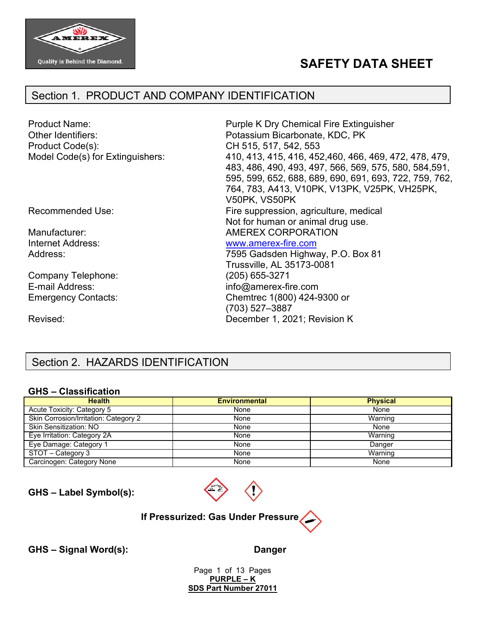

# **SAFETY DATA SHEET**

## Section 1. PRODUCT AND COMPANY IDENTIFICATION

| <b>Product Name:</b><br>Other Identifiers:<br>Product Code(s):<br>Model Code(s) for Extinguishers: | Purple K Dry Chemical Fire Extinguisher<br>Potassium Bicarbonate, KDC, PK<br>CH 515, 517, 542, 553<br>410, 413, 415, 416, 452, 460, 466, 469, 472, 478, 479,<br>483, 486, 490, 493, 497, 566, 569, 575, 580, 584, 591,<br>595, 599, 652, 688, 689, 690, 691, 693, 722, 759, 762,<br>764, 783, A413, V10PK, V13PK, V25PK, VH25PK,<br>V50PK, VS50PK |
|----------------------------------------------------------------------------------------------------|---------------------------------------------------------------------------------------------------------------------------------------------------------------------------------------------------------------------------------------------------------------------------------------------------------------------------------------------------|
| <b>Recommended Use:</b>                                                                            | Fire suppression, agriculture, medical<br>Not for human or animal drug use.                                                                                                                                                                                                                                                                       |
| Manufacturer:                                                                                      | AMEREX CORPORATION                                                                                                                                                                                                                                                                                                                                |
| Internet Address:                                                                                  | www.amerex-fire.com                                                                                                                                                                                                                                                                                                                               |
| Address:                                                                                           | 7595 Gadsden Highway, P.O. Box 81                                                                                                                                                                                                                                                                                                                 |
|                                                                                                    | Trussville, AL 35173-0081                                                                                                                                                                                                                                                                                                                         |
| Company Telephone:                                                                                 | (205) 655-3271                                                                                                                                                                                                                                                                                                                                    |
| E-mail Address:                                                                                    | info@amerex-fire.com                                                                                                                                                                                                                                                                                                                              |
| <b>Emergency Contacts:</b>                                                                         | Chemtrec 1(800) 424-9300 or<br>(703) 527-3887                                                                                                                                                                                                                                                                                                     |
| Revised:                                                                                           | December 1, 2021; Revision K                                                                                                                                                                                                                                                                                                                      |

# Section 2. HAZARDS IDENTIFICATION

#### **GHS – Classification**

| <b>Health</b>                         | <b>Environmental</b> | <b>Physical</b> |
|---------------------------------------|----------------------|-----------------|
| Acute Toxicity: Category 5            | None                 | None            |
| Skin Corrosion/Irritation: Category 2 | None                 | Warning         |
| <b>Skin Sensitization: NO</b>         | None                 | None            |
| Eye Irritation: Category 2A           | None                 | Warning         |
| Eye Damage: Category 1                | None                 | Danger          |
| STOT - Category 3                     | None                 | Warning         |
| Carcinogen: Category None             | None                 | None            |

**GHS – Label Symbol(s):**



## **If Pressurized: Gas Under Pressure**

**GHS – Signal Word(s): Danger**

Page 1 of 13 Pages **PURPLE – K SDS Part Number 27011**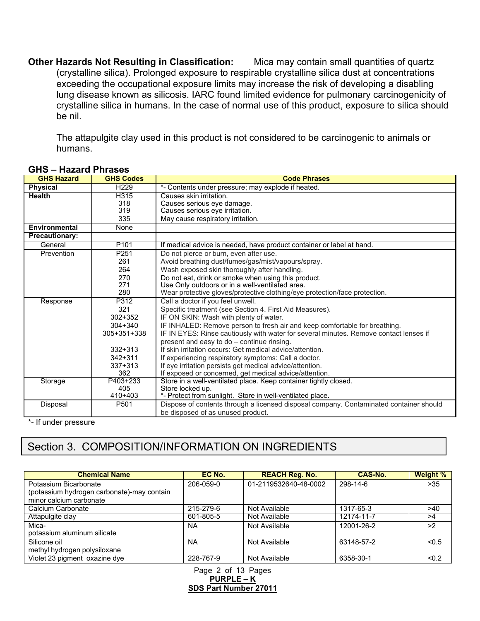**Other Hazards Not Resulting in Classification:** Mica may contain small quantities of quartz (crystalline silica). Prolonged exposure to respirable crystalline silica dust at concentrations exceeding the occupational exposure limits may increase the risk of developing a disabling lung disease known as silicosis. IARC found limited evidence for pulmonary carcinogenicity of crystalline silica in humans. In the case of normal use of this product, exposure to silica should be nil.

The attapulgite clay used in this product is not considered to be carcinogenic to animals or humans.

| <b>GHS Hazard</b>     | <b>GHS Codes</b> | <b>Code Phrases</b>                                                                    |
|-----------------------|------------------|----------------------------------------------------------------------------------------|
| Physical              | H <sub>229</sub> | *- Contents under pressure; may explode if heated.                                     |
| <b>Health</b>         | H315             | Causes skin irritation.                                                                |
|                       | 318              | Causes serious eye damage.                                                             |
|                       | 319              | Causes serious eye irritation.                                                         |
|                       | 335              | May cause respiratory irritation.                                                      |
| Environmental         | None             |                                                                                        |
| <b>Precautionary:</b> |                  |                                                                                        |
| General               | P <sub>101</sub> | If medical advice is needed, have product container or label at hand.                  |
| Prevention            | P251             | Do not pierce or burn, even after use.                                                 |
|                       | 261              | Avoid breathing dust/fumes/gas/mist/vapours/spray.                                     |
|                       | 264              | Wash exposed skin thoroughly after handling.                                           |
|                       | 270              | Do not eat, drink or smoke when using this product.                                    |
|                       | 271              | Use Only outdoors or in a well-ventilated area.                                        |
|                       | 280              | Wear protective gloves/protective clothing/eye protection/face protection.             |
| Response              | P312             | Call a doctor if you feel unwell.                                                      |
|                       | 321              | Specific treatment (see Section 4. First Aid Measures).                                |
|                       | $302 + 352$      | IF ON SKIN: Wash with plenty of water.                                                 |
|                       | $304 + 340$      | IF INHALED: Remove person to fresh air and keep comfortable for breathing.             |
|                       | 305+351+338      | IF IN EYES: Rinse cautiously with water for several minutes. Remove contact lenses if  |
|                       |                  | present and easy to do - continue rinsing.                                             |
|                       | $332 + 313$      | If skin irritation occurs: Get medical advice/attention.                               |
|                       | 342+311          | If experiencing respiratory symptoms: Call a doctor.                                   |
|                       | $337 + 313$      | If eye irritation persists get medical advice/attention.                               |
|                       | 362              | If exposed or concerned, get medical advice/attention.                                 |
| Storage               | P403+233         | Store in a well-ventilated place. Keep container tightly closed.                       |
|                       | 405              | Store locked up.                                                                       |
|                       | 410+403          | *- Protect from sunlight. Store in well-ventilated place.                              |
| Disposal              | P <sub>501</sub> | Dispose of contents through a licensed disposal company. Contaminated container should |
|                       |                  | be disposed of as unused product.                                                      |

#### **GHS – Hazard Phrases**

\*- If under pressure

# Section 3. COMPOSITION/INFORMATION ON INGREDIENTS

| <b>Chemical Name</b>                       | EC No.    | <b>REACH Reg. No.</b> | CAS-No.    | Weight % |
|--------------------------------------------|-----------|-----------------------|------------|----------|
| Potassium Bicarbonate                      | 206-059-0 | 01-2119532640-48-0002 | 298-14-6   | $>35$    |
| (potassium hydrogen carbonate)-may contain |           |                       |            |          |
| minor calcium carbonate                    |           |                       |            |          |
| Calcium Carbonate                          | 215-279-6 | Not Available         | 1317-65-3  | >40      |
| Attapulgite clay                           | 601-805-5 | Not Available         | 12174-11-7 | >4       |
| Mica-                                      | <b>NA</b> | Not Available         | 12001-26-2 | >2       |
| potassium aluminum silicate                |           |                       |            |          |
| Silicone oil                               | <b>NA</b> | Not Available         | 63148-57-2 | < 0.5    |
| methyl hydrogen polysiloxane               |           |                       |            |          |
| Violet 23 pigment oxazine dye              | 228-767-9 | Not Available         | 6358-30-1  | < 0.2    |

Page 2 of 13 Pages **PURPLE – K SDS Part Number 27011**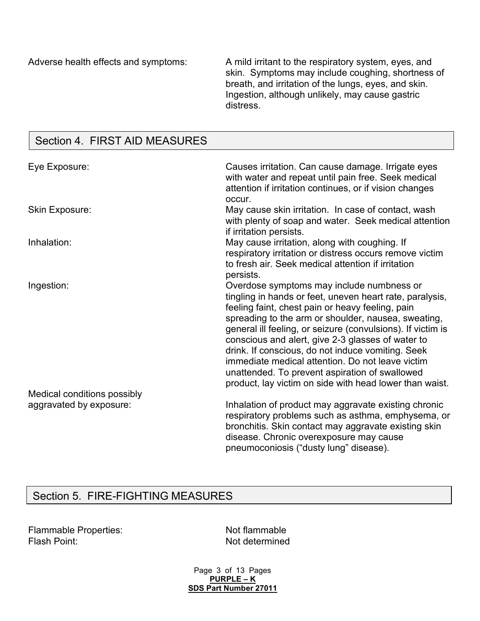Adverse health effects and symptoms: A mild irritant to the respiratory system, eyes, and skin. Symptoms may include coughing, shortness of breath, and irritation of the lungs, eyes, and skin. Ingestion, although unlikely, may cause gastric distress.

## Section 4. FIRST AID MEASURES

| Eye Exposure:               | Causes irritation. Can cause damage. Irrigate eyes<br>with water and repeat until pain free. Seek medical<br>attention if irritation continues, or if vision changes<br>occur.                                                                                                                                                                                                                                                                                                                                                                             |
|-----------------------------|------------------------------------------------------------------------------------------------------------------------------------------------------------------------------------------------------------------------------------------------------------------------------------------------------------------------------------------------------------------------------------------------------------------------------------------------------------------------------------------------------------------------------------------------------------|
| Skin Exposure:              | May cause skin irritation. In case of contact, wash<br>with plenty of soap and water. Seek medical attention<br>if irritation persists.                                                                                                                                                                                                                                                                                                                                                                                                                    |
| Inhalation:                 | May cause irritation, along with coughing. If<br>respiratory irritation or distress occurs remove victim<br>to fresh air. Seek medical attention if irritation<br>persists.                                                                                                                                                                                                                                                                                                                                                                                |
| Ingestion:                  | Overdose symptoms may include numbness or<br>tingling in hands or feet, uneven heart rate, paralysis,<br>feeling faint, chest pain or heavy feeling, pain<br>spreading to the arm or shoulder, nausea, sweating,<br>general ill feeling, or seizure (convulsions). If victim is<br>conscious and alert, give 2-3 glasses of water to<br>drink. If conscious, do not induce vomiting. Seek<br>immediate medical attention. Do not leave victim<br>unattended. To prevent aspiration of swallowed<br>product, lay victim on side with head lower than waist. |
| Medical conditions possibly |                                                                                                                                                                                                                                                                                                                                                                                                                                                                                                                                                            |
| aggravated by exposure:     | Inhalation of product may aggravate existing chronic<br>respiratory problems such as asthma, emphysema, or<br>bronchitis. Skin contact may aggravate existing skin<br>disease. Chronic overexposure may cause<br>pneumoconiosis ("dusty lung" disease).                                                                                                                                                                                                                                                                                                    |

# Section 5. FIRE-FIGHTING MEASURES

| <b>Flammable Properties:</b> |
|------------------------------|
| Flash Point:                 |

Not flammable Not determined

Page 3 of 13 Pages **PURPLE – K SDS Part Number 27011**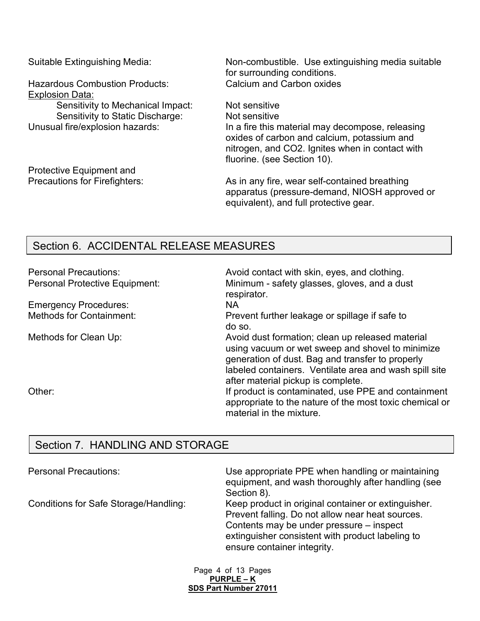Hazardous Combustion Products: Calcium and Carbon oxides Explosion Data:

Sensitivity to Mechanical Impact: Not sensitive Sensitivity to Static Discharge: Not sensitive<br>Unusual fire/explosion hazards: In a fire this n

Protective Equipment and

Suitable Extinguishing Media: Non-combustible. Use extinguishing media suitable for surrounding conditions.

> In a fire this material may decompose, releasing oxides of carbon and calcium, potassium and nitrogen, and CO2. Ignites when in contact with fluorine. (see Section 10).

Precautions for Firefighters: As in any fire, wear self-contained breathing apparatus (pressure-demand, NIOSH approved or equivalent), and full protective gear.

## Section 6. ACCIDENTAL RELEASE MEASURES

| <b>Personal Precautions:</b>    | Avoid contact with skin, eyes, and clothing.                                                                                                                                                                                                             |
|---------------------------------|----------------------------------------------------------------------------------------------------------------------------------------------------------------------------------------------------------------------------------------------------------|
| Personal Protective Equipment:  | Minimum - safety glasses, gloves, and a dust<br>respirator.                                                                                                                                                                                              |
| <b>Emergency Procedures:</b>    | <b>NA</b>                                                                                                                                                                                                                                                |
| <b>Methods for Containment:</b> | Prevent further leakage or spillage if safe to<br>do so.                                                                                                                                                                                                 |
| Methods for Clean Up:           | Avoid dust formation; clean up released material<br>using vacuum or wet sweep and shovel to minimize<br>generation of dust. Bag and transfer to properly<br>labeled containers. Ventilate area and wash spill site<br>after material pickup is complete. |
| Other:                          | If product is contaminated, use PPE and containment<br>appropriate to the nature of the most toxic chemical or<br>material in the mixture.                                                                                                               |

# Section 7. HANDLING AND STORAGE

| <b>Personal Precautions:</b>          | Use appropriate PPE when handling or maintaining<br>equipment, and wash thoroughly after handling (see<br>Section 8).                                                                                                                  |
|---------------------------------------|----------------------------------------------------------------------------------------------------------------------------------------------------------------------------------------------------------------------------------------|
| Conditions for Safe Storage/Handling: | Keep product in original container or extinguisher.<br>Prevent falling. Do not allow near heat sources.<br>Contents may be under pressure – inspect<br>extinguisher consistent with product labeling to<br>ensure container integrity. |

Page 4 of 13 Pages **PURPLE – K SDS Part Number 27011**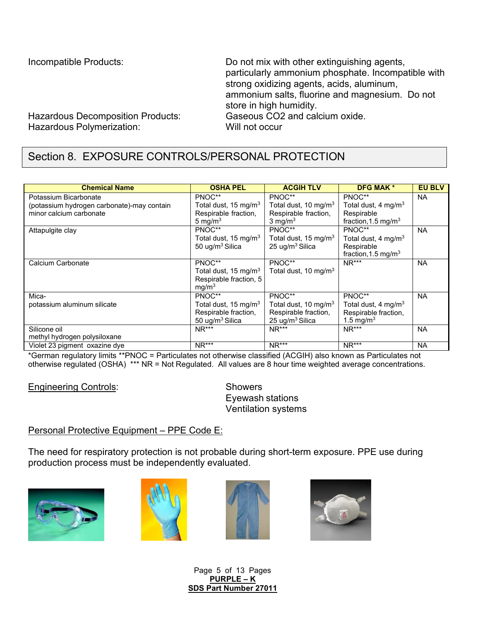Incompatible Products: Do not mix with other extinguishing agents, particularly ammonium phosphate. Incompatible with strong oxidizing agents, acids, aluminum, ammonium salts, fluorine and magnesium. Do not store in high humidity.

Hazardous Decomposition Products: Gaseous CO2 and calcium oxide. Hazardous Polymerization: Will not occur

# Section 8. EXPOSURE CONTROLS/PERSONAL PROTECTION

| <b>Chemical Name</b>                       | <b>OSHA PEL</b>                  | <b>ACGIH TLV</b>                 | <b>DFG MAK *</b>                | <b>EU BLV</b> |
|--------------------------------------------|----------------------------------|----------------------------------|---------------------------------|---------------|
| Potassium Bicarbonate                      | PNOC**                           | PNOC**                           | PNOC**                          | <b>NA</b>     |
| (potassium hydrogen carbonate)-may contain | Total dust, 15 mg/m <sup>3</sup> | Total dust, 10 mg/m <sup>3</sup> | Total dust, 4 mg/m <sup>3</sup> |               |
| minor calcium carbonate                    | Respirable fraction,             | Respirable fraction,             | Respirable                      |               |
|                                            | 5 mg/m $3$                       | $3 \text{ mg/m}^3$               | fraction, 1.5 mg/m <sup>3</sup> |               |
| Attapulgite clay                           | PNOC**                           | PNOC**                           | PNOC**                          | <b>NA</b>     |
|                                            | Total dust, 15 mg/m <sup>3</sup> | Total dust, 15 mg/m <sup>3</sup> | Total dust, 4 mg/m <sup>3</sup> |               |
|                                            | 50 ug/m <sup>3</sup> Silica      | 25 ug/m <sup>3</sup> Silica      | Respirable                      |               |
|                                            |                                  |                                  | fraction, 1.5 mg/m <sup>3</sup> |               |
| Calcium Carbonate                          | PNOC**                           | PNOC**                           | $NR***$                         | <b>NA</b>     |
|                                            | Total dust, 15 mg/m <sup>3</sup> | Total dust, 10 mg/m <sup>3</sup> |                                 |               |
|                                            | Respirable fraction, 5           |                                  |                                 |               |
|                                            | mq/m <sup>3</sup>                |                                  |                                 |               |
| Mica-                                      | PNOC**                           | PNOC**                           | PNOC**                          | <b>NA</b>     |
| potassium aluminum silicate                | Total dust, 15 mg/m <sup>3</sup> | Total dust, 10 mg/m <sup>3</sup> | Total dust, 4 mg/m <sup>3</sup> |               |
|                                            | Respirable fraction,             | Respirable fraction,             | Respirable fraction,            |               |
|                                            | 50 ug/m <sup>3</sup> Silica      | 25 ug/m <sup>3</sup> Silica      | 1.5 mg/m <sup>3</sup>           |               |
| Silicone oil                               | $NR***$                          | $NR***$                          | $NR***$                         | <b>NA</b>     |
| methyl hydrogen polysiloxane               |                                  |                                  |                                 |               |
| Violet 23 pigment oxazine dye              | $NR***$                          | $NR***$                          | $NR***$                         | <b>NA</b>     |

\*German regulatory limits \*\*PNOC = Particulates not otherwise classified (ACGIH) also known as Particulates not otherwise regulated (OSHA) \*\*\* NR = Not Regulated. All values are 8 hour time weighted average concentrations.

Engineering Controls: Showers

Eyewash stations Ventilation systems

## Personal Protective Equipment – PPE Code E:

The need for respiratory protection is not probable during short-term exposure. PPE use during production process must be independently evaluated.









Page 5 of 13 Pages **PURPLE – K SDS Part Number 27011**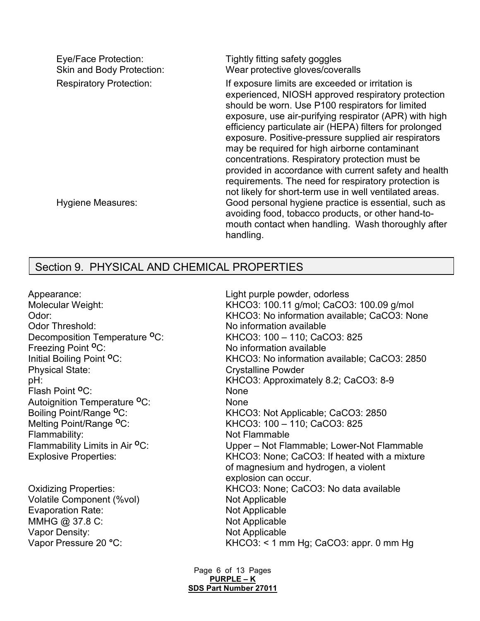| Eye/Face Protection:<br>Skin and Body Protection: | Tightly fitting safety goggles<br>Wear protective gloves/coveralls                                                                                                                                                                                                                                                                                                                                                                                                                                                                                                                                                     |
|---------------------------------------------------|------------------------------------------------------------------------------------------------------------------------------------------------------------------------------------------------------------------------------------------------------------------------------------------------------------------------------------------------------------------------------------------------------------------------------------------------------------------------------------------------------------------------------------------------------------------------------------------------------------------------|
| <b>Respiratory Protection:</b>                    | If exposure limits are exceeded or irritation is<br>experienced, NIOSH approved respiratory protection<br>should be worn. Use P100 respirators for limited<br>exposure, use air-purifying respirator (APR) with high<br>efficiency particulate air (HEPA) filters for prolonged<br>exposure. Positive-pressure supplied air respirators<br>may be required for high airborne contaminant<br>concentrations. Respiratory protection must be<br>provided in accordance with current safety and health<br>requirements. The need for respiratory protection is<br>not likely for short-term use in well ventilated areas. |
| <b>Hygiene Measures:</b>                          | Good personal hygiene practice is essential, such as<br>avoiding food, tobacco products, or other hand-to-<br>mouth contact when handling. Wash thoroughly after<br>handling.                                                                                                                                                                                                                                                                                                                                                                                                                                          |

## Section 9. PHYSICAL AND CHEMICAL PROPERTIES

Appearance: Light purple powder, odorless Freezing Point <sup>O</sup>C: No information available Physical State:<br>
pH: Crystalline Powder<br>
Crystalline Powder<br>
KHCO3: Approxima Flash Point **<sup>O</sup>**C: None Autoignition Temperature **<sup>O</sup>**C: None Flammability: Not Flammable

Volatile Component (%vol) Not Applicable Evaporation Rate: Not Applicable MMHG @ 37.8 C: Not Applicable Vapor Density: Not Applicable

Molecular Weight: KHCO3: 100.11 g/mol; CaCO3: 100.09 g/mol Odor:<br>
Odor: Threshold: 
Same Color Threshold:<br>
No information available<br>
No information available No information available Decomposition Temperature **<sup>O</sup>**C: KHCO3: 100 – 110; CaCO3: 825 Initial Boiling Point <sup>o</sup>C: KHCO3: No information available; CaCO3: 2850 KHCO3: Approximately 8.2; CaCO3: 8-9 Boiling Point/Range <sup>o</sup>C: KHCO3: Not Applicable; CaCO3: 2850<br>Melting Point/Range <sup>o</sup>C: KHCO3: 100 – 110; CaCO3: 825 KHCO3: 100 – 110: CaCO3: 825 Flammability Limits in Air <sup>o</sup>C: Upper – Not Flammable; Lower-Not Flammable Explosive Properties: KHCO3: None; CaCO3: If heated with a mixture of magnesium and hydrogen, a violent explosion can occur. Oxidizing Properties: KHCO3: None; CaCO3: No data available Vapor Pressure 20 °C: KHCO3: < 1 mm Hg; CaCO3: appr. 0 mm Hg

> Page 6 of 13 Pages **PURPLE – K SDS Part Number 27011**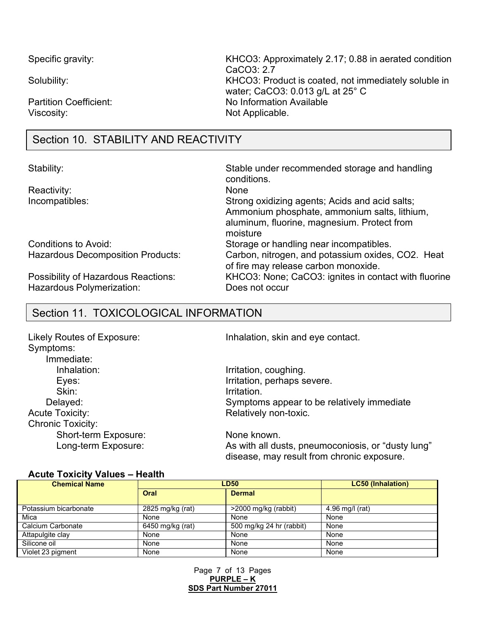Viscosity: Not Applicable.

Section 10. STABILITY AND REACTIVITY

Reactivity:

Hazardous Polymerization: Does not occur

Specific gravity: Specific gravity: Specific gravity: KHCO3: Approximately 2.17; 0.88 in aerated condition CaCO3: 2.7 Solubility: Solubility: Solubility: Solubility:  $KHCO3$ : Product is coated, not immediately soluble in water; CaCO3: 0.013 g/L at 25° C Partition Coefficient: No Information Available

Stability: Stable under recommended storage and handling conditions.<br>None Incompatibles: Strong oxidizing agents; Acids and acid salts; Ammonium phosphate, ammonium salts, lithium, aluminum, fluorine, magnesium. Protect from moisture Conditions to Avoid: Storage or handling near incompatibles. Hazardous Decomposition Products: Carbon, nitrogen, and potassium oxides, CO2. Heat of fire may release carbon monoxide. Possibility of Hazardous Reactions: KHCO3: None; CaCO3: ignites in contact with fluorine

## Section 11. TOXICOLOGICAL INFORMATION

| Likely Routes of Exposure: | Inhalation, skin and eye contact.                                                                |
|----------------------------|--------------------------------------------------------------------------------------------------|
| Symptoms:                  |                                                                                                  |
| Immediate:                 |                                                                                                  |
| Inhalation:                | Irritation, coughing.                                                                            |
| Eyes:                      | Irritation, perhaps severe.                                                                      |
| Skin:                      | Irritation.                                                                                      |
| Delayed:                   | Symptoms appear to be relatively immediate                                                       |
| <b>Acute Toxicity:</b>     | Relatively non-toxic.                                                                            |
| <b>Chronic Toxicity:</b>   |                                                                                                  |
| Short-term Exposure:       | None known.                                                                                      |
| Long-term Exposure:        | As with all dusts, pneumoconiosis, or "dusty lung"<br>disease, may result from chronic exposure. |

#### **Acute Toxicity Values – Health**

| <b>Chemical Name</b>  | <b>LD50</b>      |                          | <b>LC50 (Inhalation)</b> |
|-----------------------|------------------|--------------------------|--------------------------|
|                       | Oral             | <b>Dermal</b>            |                          |
| Potassium bicarbonate | 2825 mg/kg (rat) | >2000 mg/kg (rabbit)     | 4.96 mg/l (rat)          |
| Mica                  | None             | None                     | None                     |
| Calcium Carbonate     | 6450 mg/kg (rat) | 500 mg/kg 24 hr (rabbit) | None                     |
| Attapulgite clay      | None             | None                     | None                     |
| Silicone oil          | None             | None                     | None                     |
| Violet 23 pigment     | None             | None                     | None                     |

Page 7 of 13 Pages **PURPLE – K SDS Part Number 27011**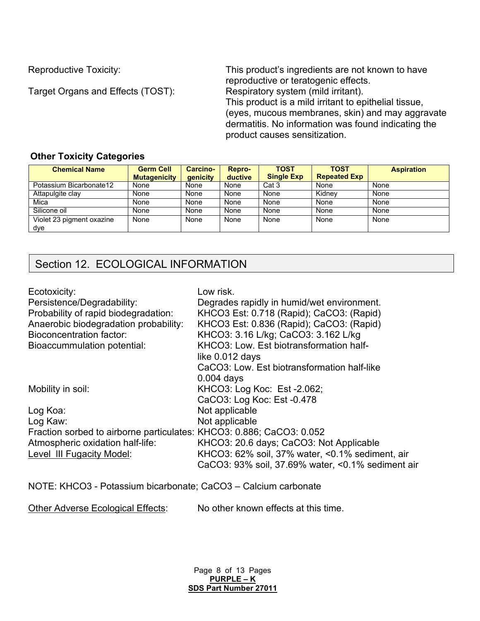Target Organs and Effects (TOST):

Reproductive Toxicity: This product's ingredients are not known to have reproductive or teratogenic effects.<br>Respiratory system (mild irritant).

This product is a mild irritant to epithelial tissue, (eyes, mucous membranes, skin) and may aggravate dermatitis. No information was found indicating the product causes sensitization.

### **Other Toxicity Categories**

| <b>Chemical Name</b>             | <b>Germ Cell</b><br><b>Mutagenicity</b> | <b>Carcino-</b><br>genicity | <b>Repro-</b><br>ductive | <b>TOST</b><br><b>Single Exp</b> | <b>TOST</b><br><b>Repeated Exp</b> | <b>Aspiration</b> |
|----------------------------------|-----------------------------------------|-----------------------------|--------------------------|----------------------------------|------------------------------------|-------------------|
| Potassium Bicarbonate12          | None                                    | None                        | None                     | Cat 3                            | None                               | None              |
| Attapulgite clay                 | None                                    | None                        | None                     | None                             | Kidnev                             | None              |
| Mica                             | None                                    | None                        | None                     | None                             | None                               | None              |
| Silicone oil                     | None                                    | None                        | None                     | None                             | None                               | None              |
| Violet 23 pigment oxazine<br>dye | None                                    | None                        | None                     | None                             | None                               | None              |

# Section 12. ECOLOGICAL INFORMATION

| Ecotoxicity:                                                         | Low risk.                                         |
|----------------------------------------------------------------------|---------------------------------------------------|
| Persistence/Degradability:                                           | Degrades rapidly in humid/wet environment.        |
| Probability of rapid biodegradation:                                 | KHCO3 Est: 0.718 (Rapid); CaCO3: (Rapid)          |
| Anaerobic biodegradation probability:                                | KHCO3 Est: 0.836 (Rapid); CaCO3: (Rapid)          |
| <b>Bioconcentration factor:</b>                                      | KHCO3: 3.16 L/kg; CaCO3: 3.162 L/kg               |
| Bioaccummulation potential:                                          | KHCO3: Low. Est biotransformation half-           |
|                                                                      | like 0.012 days                                   |
|                                                                      | CaCO3: Low. Est biotransformation half-like       |
|                                                                      | $0.004$ days                                      |
| Mobility in soil:                                                    | KHCO3: Log Koc: Est -2.062;                       |
|                                                                      | CaCO3: Log Koc: Est -0.478                        |
| Log Koa:                                                             | Not applicable                                    |
| Log Kaw:                                                             | Not applicable                                    |
| Fraction sorbed to airborne particulates: KHCO3: 0.886; CaCO3: 0.052 |                                                   |
| Atmospheric oxidation half-life:                                     | KHCO3: 20.6 days; CaCO3: Not Applicable           |
| Level III Fugacity Model:                                            | KHCO3: 62% soil, 37% water, <0.1% sediment, air   |
|                                                                      | CaCO3: 93% soil, 37.69% water, <0.1% sediment air |

NOTE: KHCO3 - Potassium bicarbonate; CaCO3 – Calcium carbonate

Other Adverse Ecological Effects: No other known effects at this time.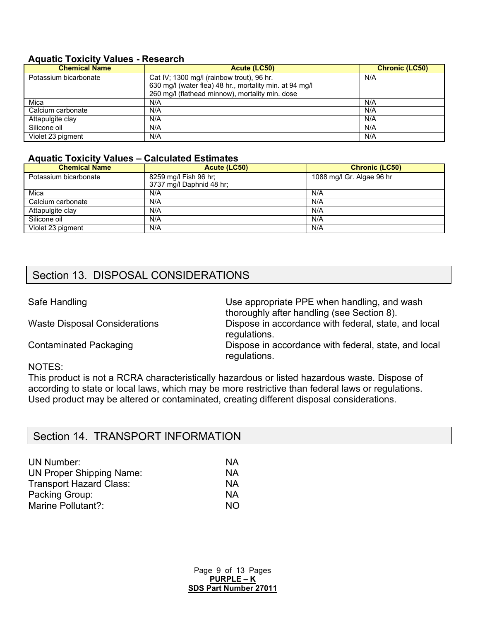#### **Aquatic Toxicity Values - Research**

| <b>Chemical Name</b>  | Acute (LC50)                                            | <b>Chronic (LC50)</b> |
|-----------------------|---------------------------------------------------------|-----------------------|
| Potassium bicarbonate | Cat IV; 1300 mg/l (rainbow trout), 96 hr.               | N/A                   |
|                       | 630 mg/l (water flea) 48 hr., mortality min. at 94 mg/l |                       |
|                       | 260 mg/l (flathead minnow), mortality min. dose         |                       |
| Mica                  | N/A                                                     | N/A                   |
| Calcium carbonate     | N/A                                                     | N/A                   |
| Attapulgite clay      | N/A                                                     | N/A                   |
| Silicone oil          | N/A                                                     | N/A                   |
| Violet 23 pigment     | N/A                                                     | N/A                   |

#### **Aquatic Toxicity Values – Calculated Estimates**

| <b>Chemical Name</b>  | Acute (LC50)                                      | <b>Chronic (LC50)</b>     |
|-----------------------|---------------------------------------------------|---------------------------|
| Potassium bicarbonate | 8259 mg/l Fish 96 hr;<br>3737 mg/l Daphnid 48 hr; | 1088 mg/l Gr. Algae 96 hr |
| Mica                  | N/A                                               | N/A                       |
| Calcium carbonate     | N/A                                               | N/A                       |
| Attapulgite clay      | N/A                                               | N/A                       |
| Silicone oil          | N/A                                               | N/A                       |
| Violet 23 pigment     | N/A                                               | N/A                       |

## Section 13. DISPOSAL CONSIDERATIONS

Safe Handling Safe Handling Safe Handling and wash thoroughly after handling (see Section 8). Waste Disposal Considerations Dispose in accordance with federal, state, and local regulations. Contaminated Packaging **Dispose in accordance with federal, state, and local** 

#### NOTES:

This product is not a RCRA characteristically hazardous or listed hazardous waste. Dispose of according to state or local laws, which may be more restrictive than federal laws or regulations. Used product may be altered or contaminated, creating different disposal considerations.

regulations.

## UN Number: NA UN Proper Shipping Name: NA<br>Transport Hazard Class: NA Transport Hazard Class: Packing Group: NA Marine Pollutant? NO

Section 14. TRANSPORT INFORMATION

Page 9 of 13 Pages **PURPLE – K SDS Part Number 27011**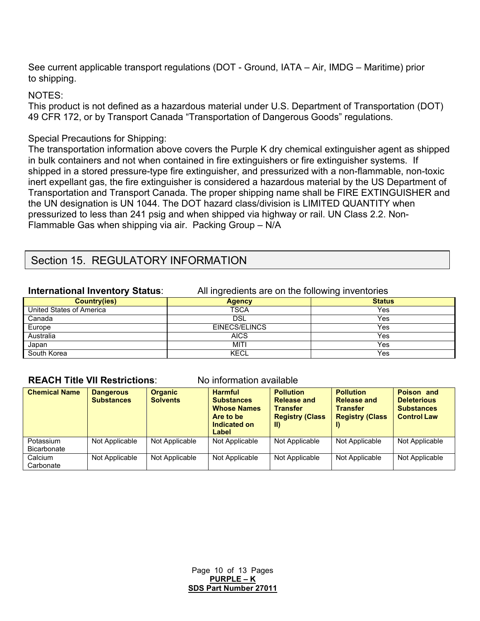See current applicable transport regulations (DOT - Ground, IATA – Air, IMDG – Maritime) prior to shipping.

#### NOTES:

This product is not defined as a hazardous material under U.S. Department of Transportation (DOT) 49 CFR 172, or by Transport Canada "Transportation of Dangerous Goods" regulations.

### Special Precautions for Shipping:

The transportation information above covers the Purple K dry chemical extinguisher agent as shipped in bulk containers and not when contained in fire extinguishers or fire extinguisher systems. If shipped in a stored pressure-type fire extinguisher, and pressurized with a non-flammable, non-toxic inert expellant gas, the fire extinguisher is considered a hazardous material by the US Department of Transportation and Transport Canada. The proper shipping name shall be FIRE EXTINGUISHER and the UN designation is UN 1044. The DOT hazard class/division is LIMITED QUANTITY when pressurized to less than 241 psig and when shipped via highway or rail. UN Class 2.2. Non-Flammable Gas when shipping via air. Packing Group – N/A

## Section 15. REGULATORY INFORMATION

**International Inventory Status**: All ingredients are on the following inventories

| <b>Country(ies)</b>      | <b>Agency</b> | <b>Status</b> |
|--------------------------|---------------|---------------|
| United States of America | <b>TSCA</b>   | Yes           |
| Canada                   | <b>DSL</b>    | Yes           |
| Europe                   | EINECS/ELINCS | Yes           |
| Australia                | <b>AICS</b>   | Yes           |
| Japan                    | MITI          | Yes           |
| South Korea              | KECL          | Yes           |

#### **REACH Title VII Restrictions**: No information available

| <b>Chemical Name</b>            | <b>Dangerous</b><br><b>Substances</b> | <b>Organic</b><br><b>Solvents</b> | <b>Harmful</b><br><b>Substances</b><br><b>Whose Names</b><br>Are to be<br>Indicated on<br>Label | <b>Pollution</b><br><b>Release and</b><br><b>Transfer</b><br><b>Registry (Class</b><br>TD. | <b>Pollution</b><br><b>Release and</b><br><b>Transfer</b><br><b>Registry (Class</b> | <b>Poison and</b><br><b>Deleterious</b><br><b>Substances</b><br><b>Control Law</b> |
|---------------------------------|---------------------------------------|-----------------------------------|-------------------------------------------------------------------------------------------------|--------------------------------------------------------------------------------------------|-------------------------------------------------------------------------------------|------------------------------------------------------------------------------------|
| Potassium<br><b>Bicarbonate</b> | Not Applicable                        | Not Applicable                    | Not Applicable                                                                                  | Not Applicable                                                                             | Not Applicable                                                                      | Not Applicable                                                                     |
| Calcium<br>Carbonate            | Not Applicable                        | Not Applicable                    | Not Applicable                                                                                  | Not Applicable                                                                             | Not Applicable                                                                      | Not Applicable                                                                     |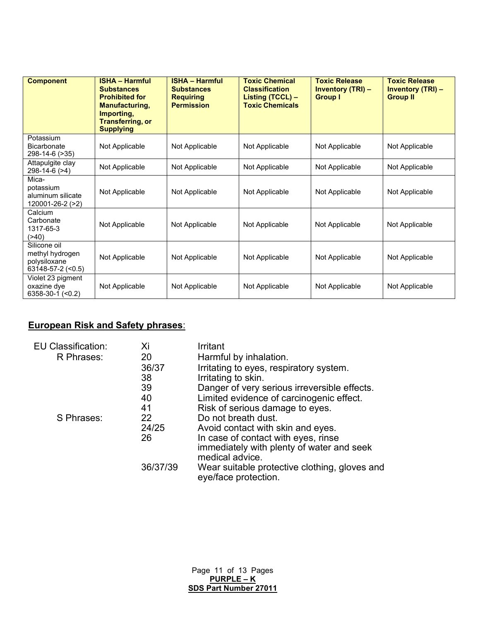| <b>Component</b>                                                                | <b>ISHA - Harmful</b><br><b>Substances</b><br><b>Prohibited for</b><br><b>Manufacturing,</b><br>Importing,<br><b>Transferring, or</b><br><b>Supplying</b> | <b>ISHA - Harmful</b><br><b>Substances</b><br><b>Requiring</b><br><b>Permission</b> | <b>Toxic Chemical</b><br><b>Classification</b><br>Listing (TCCL) -<br><b>Toxic Chemicals</b> | <b>Toxic Release</b><br><b>Inventory (TRI) -</b><br><b>Group I</b> | <b>Toxic Release</b><br><b>Inventory (TRI) -</b><br><b>Group II</b> |
|---------------------------------------------------------------------------------|-----------------------------------------------------------------------------------------------------------------------------------------------------------|-------------------------------------------------------------------------------------|----------------------------------------------------------------------------------------------|--------------------------------------------------------------------|---------------------------------------------------------------------|
| Potassium<br>Bicarbonate<br>298-14-6 (>35)                                      | Not Applicable                                                                                                                                            | Not Applicable                                                                      | Not Applicable                                                                               | Not Applicable                                                     | Not Applicable                                                      |
| Attapulgite clay<br>298-14-6 (>4)                                               | Not Applicable                                                                                                                                            | Not Applicable                                                                      | Not Applicable                                                                               | Not Applicable                                                     | Not Applicable                                                      |
| Mica-<br>potassium<br>aluminum silicate<br>120001-26-2 (>2)                     | Not Applicable                                                                                                                                            | Not Applicable                                                                      | Not Applicable                                                                               | Not Applicable                                                     | Not Applicable                                                      |
| Calcium<br>Carbonate<br>1317-65-3<br>( > 40)                                    | Not Applicable                                                                                                                                            | Not Applicable                                                                      | Not Applicable                                                                               | Not Applicable                                                     | Not Applicable                                                      |
| Silicone oil<br>methyl hydrogen<br>polysiloxane<br>$63148 - 57 - 2 \approx 0.5$ | Not Applicable                                                                                                                                            | Not Applicable                                                                      | Not Applicable                                                                               | Not Applicable                                                     | Not Applicable                                                      |
| Violet 23 pigment<br>oxazine dye<br>6358-30-1 (<0.2)                            | Not Applicable                                                                                                                                            | Not Applicable                                                                      | Not Applicable                                                                               | Not Applicable                                                     | Not Applicable                                                      |

## **European Risk and Safety phrases**:

| <b>EU Classification:</b> | Xi       | Irritant                                                              |
|---------------------------|----------|-----------------------------------------------------------------------|
| R Phrases:                | 20       | Harmful by inhalation.                                                |
|                           | 36/37    | Irritating to eyes, respiratory system.                               |
|                           | 38       | Irritating to skin.                                                   |
|                           | 39       | Danger of very serious irreversible effects.                          |
|                           | 40       | Limited evidence of carcinogenic effect.                              |
|                           | 41       | Risk of serious damage to eyes.                                       |
| S Phrases:                | 22       | Do not breath dust.                                                   |
|                           | 24/25    | Avoid contact with skin and eyes.                                     |
|                           | 26       | In case of contact with eyes, rinse                                   |
|                           |          | immediately with plenty of water and seek                             |
|                           |          | medical advice.                                                       |
|                           | 36/37/39 | Wear suitable protective clothing, gloves and<br>eye/face protection. |
|                           |          |                                                                       |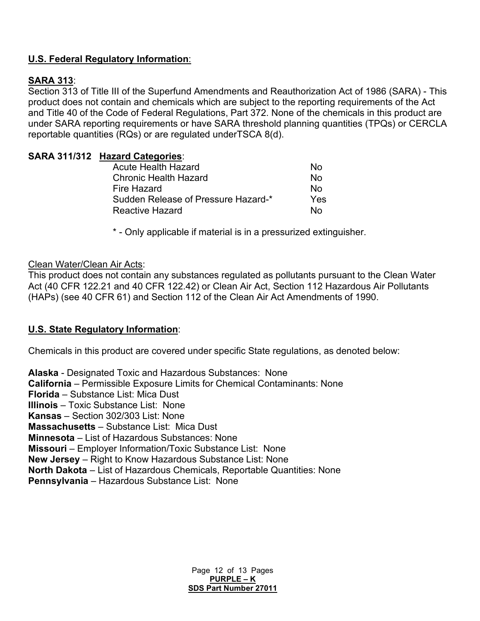### **U.S. Federal Regulatory Information**:

## **SARA 313**:

Section 313 of Title III of the Superfund Amendments and Reauthorization Act of 1986 (SARA) - This product does not contain and chemicals which are subject to the reporting requirements of the Act and Title 40 of the Code of Federal Regulations, Part 372. None of the chemicals in this product are under SARA reporting requirements or have SARA threshold planning quantities (TPQs) or CERCLA reportable quantities (RQs) or are regulated underTSCA 8(d).

### **SARA 311/312 Hazard Categories**:

| <b>Acute Health Hazard</b>          | N٥  |
|-------------------------------------|-----|
| <b>Chronic Health Hazard</b>        | N٥  |
| Fire Hazard                         | N٥  |
| Sudden Release of Pressure Hazard-* | Yes |
| <b>Reactive Hazard</b>              | N٥  |
|                                     |     |

\* - Only applicable if material is in a pressurized extinguisher.

#### Clean Water/Clean Air Acts:

This product does not contain any substances regulated as pollutants pursuant to the Clean Water Act (40 CFR 122.21 and 40 CFR 122.42) or Clean Air Act, Section 112 Hazardous Air Pollutants (HAPs) (see 40 CFR 61) and Section 112 of the Clean Air Act Amendments of 1990.

#### **U.S. State Regulatory Information**:

Chemicals in this product are covered under specific State regulations, as denoted below:

**Alaska** - Designated Toxic and Hazardous Substances: None **California** – Permissible Exposure Limits for Chemical Contaminants: None **Florida** – Substance List: Mica Dust **Illinois** – Toxic Substance List: None **Kansas** – Section 302/303 List: None **Massachusetts** – Substance List: Mica Dust **Minnesota** – List of Hazardous Substances: None **Missouri** – Employer Information/Toxic Substance List: None **New Jersey** – Right to Know Hazardous Substance List: None **North Dakota** – List of Hazardous Chemicals, Reportable Quantities: None **Pennsylvania** – Hazardous Substance List: None

> Page 12 of 13 Pages **PURPLE – K SDS Part Number 27011**